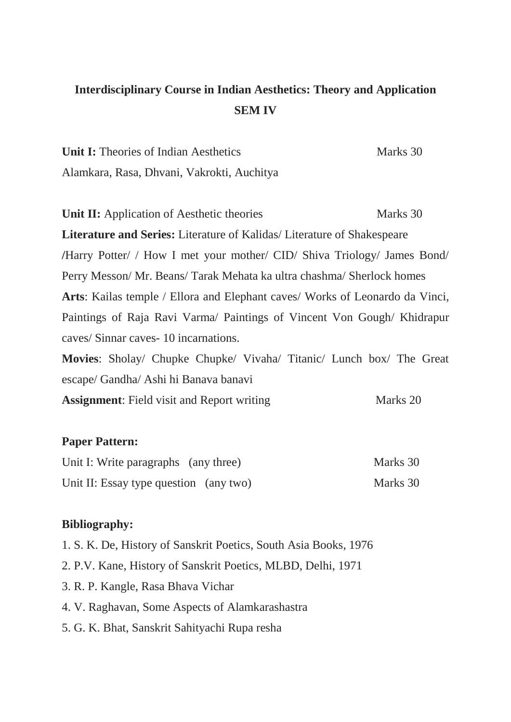## **Interdisciplinary Course in Indian Aesthetics: Theory and Application SEM IV**

| <b>Unit I:</b> Theories of Indian Aesthetics | Marks 30 |
|----------------------------------------------|----------|
| Alamkara, Rasa, Dhvani, Vakrokti, Auchitya   |          |

**Unit II:** Application of Aesthetic theories Marks 30 **Literature and Series:** Literature of Kalidas/ Literature of Shakespeare **/**Harry Potter/ / How I met your mother/ CID/ Shiva Triology/ James Bond/ Perry Messon/ Mr. Beans/ Tarak Mehata ka ultra chashma/ Sherlock homes **Arts**: Kailas temple / Ellora and Elephant caves/ Works of Leonardo da Vinci, Paintings of Raja Ravi Varma/ Paintings of Vincent Von Gough/ Khidrapur caves/ Sinnar caves- 10 incarnations.

**Movies**: Sholay/ Chupke Chupke/ Vivaha/ Titanic/ Lunch box/ The Great escape/ Gandha/ Ashi hi Banava banavi

Assignment: Field visit and Report writing Marks 20

## **Paper Pattern:**

| Unit I: Write paragraphs (any three)   | Marks 30 |
|----------------------------------------|----------|
| Unit II: Essay type question (any two) | Marks 30 |

## **Bibliography:**

- 1. S. K. De, History of Sanskrit Poetics, South Asia Books, 1976
- 2. P.V. Kane, History of Sanskrit Poetics, MLBD, Delhi, 1971
- 3. R. P. Kangle, Rasa Bhava Vichar
- 4. V. Raghavan, Some Aspects of Alamkarashastra
- 5. G. K. Bhat, Sanskrit Sahityachi Rupa resha